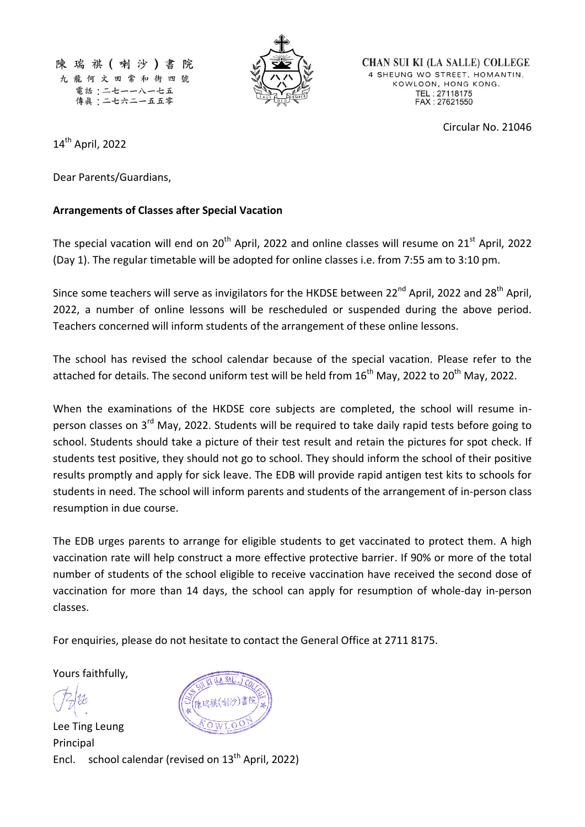陳瑞祺(喇沙)書 阵 九龍何文田常和街四號 電話:二七一一八一七五 傳眞:二七六二一五五零



**CHAN SUI KI (LA SALLE) COLLEGE** 4 SHEUNG WO STREET, HOMANTIN, KOWLOON, HONG KONG. TEL: 27118175<br>FAX: 27621550

Circular No. 21046

14 th April, 2022

Dear Parents/Guardians,

## **Arrangements of Classes after Special Vacation**

The special vacation will end on  $20<sup>th</sup>$  April, 2022 and online classes will resume on  $21<sup>st</sup>$  April, 2022 (Day 1). The regular timetable will be adopted for online classes i.e. from 7:55 am to 3:10 pm.

Since some teachers will serve as invigilators for the HKDSE between 22<sup>nd</sup> April, 2022 and 28<sup>th</sup> April, 2022, a number of online lessons will be rescheduled or suspended during the above period. Teachers concerned will inform students of the arrangement of these online lessons.

The school has revised the school calendar because of the special vacation. Please refer to the attached for details. The second uniform test will be held from  $16<sup>th</sup>$  May, 2022 to 20<sup>th</sup> May, 2022.

When the examinations of the HKDSE core subjects are completed, the school will resume inperson classes on 3<sup>rd</sup> May, 2022. Students will be required to take daily rapid tests before going to school. Students should take a picture of their test result and retain the pictures for spot check. If students test positive, they should not go to school. They should inform the school of their positive results promptly and apply for sick leave. The EDB will provide rapid antigen test kits to schools for students in need. The school will inform parents and students of the arrangement of in-person class resumption in due course.

The EDB urges parents to arrange for eligible students to get vaccinated to protect them. A high vaccination rate will help construct a more effective protective barrier. If 90% or more of the total number of students of the school eligible to receive vaccination have received the second dose of vaccination for more than 14 days, the school can apply for resumption of whole-day in-person classes.

For enquiries, please do not hesitate to contact the General Office at 2711 8175.

Yours faithfully,

Lee Ting Leung Principal Encl. school calendar (revised on 13<sup>th</sup> April, 2022)

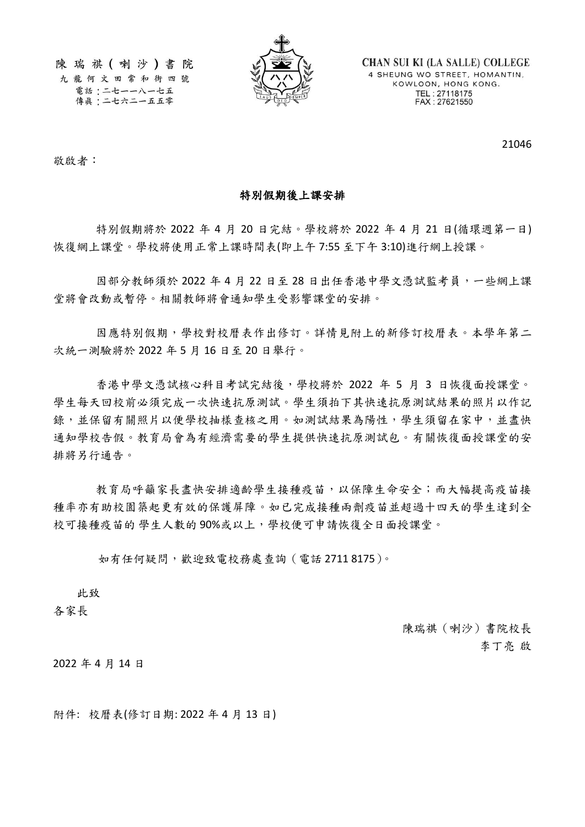陳瑞祺(喇沙)書院 九龍何文田常和街四號

電話:二七一一八一七五 傳眞:二七六二一五五零



**CHAN SUI KI (LA SALLE) COLLEGE** 4 SHEUNG WO STREET, HOMANTIN, KOWLOON, HONG KONG. TEL: 27118175<br>FAX: 27621550

21046

敬啟者:

## 特別假期後上課安排

特別假期將於 2022 年 4 月 20 日完結。學校將於 2022 年 4 月 21 日(循環週第一日) 恢復網上課堂。學校將使用正常上課時間表(即上午 7:55 至下午 3:10)進行網上授課。

因部分教師須於 2022 年 4 月 22 日至 28 日出任香港中學文憑試監考員,一些網上課 堂將會改動或暫停。相關教師將會通知學生受影響課堂的安排。

因應特別假期,學校對校曆表作出修訂。詳情見附上的新修訂校曆表。本學年第二 次統一測驗將於 2022 年 5 月 16 日至 20 日舉行。

香港中學文憑試核心科目考試完結後,學校將於 2022 年 5 月 3 日恢復面授課堂。 學生每天回校前必須完成一次快速抗原測試。學生須拍下其快速抗原測試結果的照片以作記 錄,並保留有關照片以便學校抽樣查核之用。如測試結果為陽性,學生須留在家中,並盡快 通知學校告假。教育局會為有經濟需要的學生提供快速抗原測試包。有關恢復面授課堂的安 排將另行通告。

教育局呼籲家長盡快安排適齡學生接種疫苗,以保障生命安全;而大幅提高疫苗接 種率亦有助校園築起更有效的保護屏障。如已完成接種兩劑疫苗並超過十四天的學生達到全 校可接種疫苗的 學生人數的 90%或以上,學校便可申請恢復全日面授課堂。

如有任何疑問,歡迎致電校務處查詢(電話 2711 8175)。

此致

各家長

陳瑞祺(喇沙)書院校長 李丁亮 啟

2022 年 4 月 14 日

附件: 校曆表(修訂日期: 2022 年 4 月 13 日)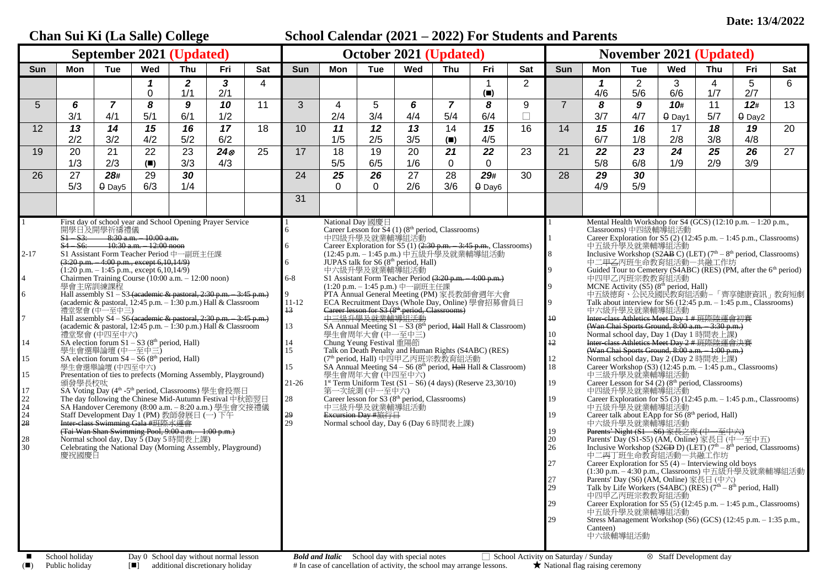## **Chan Sui Ki (La Salle) College School Calendar (2021 – 2022) For Students and Parents September 2021 (Updated) October 2021 (Updated) November 2021 (Updated)** Sun | Mon | Tue | Wed | Thu | Fri | Sat | Sun | Mon | Tue | Wed | Thu | Fri | Sat | Sun | Mon | Tue | Wed | Thu | Fri | Sat *1 2 3* 4 1 2 *1* 2 3 4 5 6 0 1/1 2/1 **(**◼**)** 4/6 5/6 6/6 1/7 2/7 5 *6 7 8 9 10* 11 3 4 5 *6 7 8* 9 7 *8 9 10***#** 11 *12***#** 13 3/1 | 4/1 | 5/1 | 6/1 | 1/2 | | 2/4 | 3/4 | 4/4 | 5/4 | 6/4 | □ | | 3/7 | 4/7 | <del>0</del> Day1 | 5/7 | <del>0</del> Day2 12 *13 14 15 16 17* 18 10 *11 12 13* 14 *15* 16 14 *15 16* 17 *18 19* 20 2/2 3/2 4/2 5/2 6/2 1/5 2/5 3/5 **(**◼**)** 4/5 6/7 1/8 2/8 3/8 4/8 19 20 21 22 23 *24* 25 17 18 19 20 *21 22* 23 21 *22 23 24 25 26* 27 1/3 | 2/3 | (■) | 3/3 | 4/3 | | 5/5 | 6/5 | 1/6 | 0 | 0 | | | 5/8 | 6/8 | 1/9 | 2/9 | 3/9 26 27 *28#* 29 *30* 24 *25 26* 27 28 *29#* 30 28 *29 30* 5/3 | <del>0</del> Day5 | 6/3 | 1/4 | | | | 0 | 0 | 2/6 | 3/6 | <del>0</del> Day6 | | | 4/9 | 5/9 31 1 2-17 4 6 7 14 15 15 17 22  $\frac{1}{24}$  $\overline{24}$  $\bar{28}$ 28 30 First day of school year and School Opening Prayer Service 開學日及開學祈禱禮儀<br>S1-S3: 8:30 a.m. – 10:00 a.m. S1 – S3: 8:30 a.m. – 10:00 a.m. S4 – S6: 10:30 a.m. – 12:00 noon S1 Assistant Form Teacher Period 中一副班主任課  $(3:20 \text{ p.m.} - 4:00 \text{ p.m.}, \text{except } 6,10,14/9)$  $(1:20 \text{ p.m.} - 1:45 \text{ p.m.} \text{ except } 6.10,14/9)$ Chairmen Training Course (10:00 a.m. – 12:00 noon) 學會主席訓練課程 Hall assembly  $S1 - S3$  (academic & pastoral, 2:30 p.m. – 3:45 p.m.) (academic  $\&$  pastoral,  $12:45$  p.m.  $-1:30$  p.m.) Hall  $\&$  Classroom 禮堂聚會 (中一至中三) Hall assembly S4 – S6 (academic & pastoral, 2:30 p.m. – 3:45 p.m.) (academic & pastoral, 12:45 p.m. – 1:30 p.m.) Hall & Classroom 禮堂聚會 (中四至中六)<br>SA election forum S1 – S3 (8<sup>th</sup> period, Hall) 學生會選舉論壇 (中一至中三) SA election forum  $S4 - S6$  ( $8<sup>th</sup>$  period, Hall) 學生會選舉論壇 (中四至中六) Presentation of ties to prefects (Morning Assembly, Playground) 頒發學長校呔 SA Voting Day (4<sup>th</sup> -5<sup>th</sup> period, Classrooms) 學生會投票日 The day following the Chinese Mid-Autumn Festival 中秋節翌日 SA Handover Ceremony (8:00 a.m. – 8:20 a.m.) 學生會交接禮儀 Staff Development Day 1 (PM) 教師發展日 (一) 下午 Inter-class Swimming Gala #班際水運會 (Tai Wan Shan Swimming Pool, 9:00 a.m. – 1:00 p.m.) Normal school day, Day 5 (Day 5 時間表上課) Celebrating the National Day (Morning Assembly, Playground) 慶祝國慶日 1 6 6 6 6-8 9 11-12 13 13 14 15 15 21-26 28 29  $\frac{2}{29}$ National Day 國慶日 Career Lesson for S4 (1) (8<sup>th</sup> period, Classrooms) 中四級升學及就業輔導組活動 Career Exploration for S5 (1) (2:30 p.m. - 3:45 p.m., Classrooms) (12:45 p.m. – 1:45 p.m.) 中五級升學及就業輔導組活動  $JUPAS$  talk for  $S6(8<sup>th</sup>$  period, Hall) 中六級升學及就業輔導組活動  $S1$  Assistant Form Teacher Period  $(3:20 \text{ p.m.} - 4:00 \text{ p.m.})$ (1:20 p.m. – 1:45 p.m.) 中一副班主任課 PTA Annual General Meeting (PM) 家長教師會週年大會 ECA Recruitment Days (Whole Day, Online) 學會招募會員日 Career lesson for S3 (8<sup>th</sup> period, Classrooms) 中三級升學及就業輔導組活動 SA Annual Meeting  $S1 - S3$  (8<sup>th</sup> period, Hall Hall & Classroom) 學生會周年大會 (中一至中三) Chung Yeung Festival 重陽節 Talk on Death Penalty and Human Rights (S4ABC) (RES) (7th period, Hall) 中四甲乙丙班宗教教育組活動 SA Annual Meeting  $S4 - S6 (8<sup>th</sup> period, *Hall* Hall & Classroom)$ 學生會周年大會 (中四至中六) 1 st Term Uniform Test (S1 – S6) (4 days) (Reserve 23,30/10) 第一次統測 (中一至中六) Career lesson for S3 (8<sup>th</sup> period, Classrooms) 中三級升學及就業輔導組活動 Excursion Day #旅行日 Normal school day,  $\overrightarrow{Day}$  6 (Day 6 時間表上課) 1 1 8  $\overline{Q}$  $\overline{Q}$  $\overline{Q}$ 10 10 12 12 18 19 19 19 19 20 26 27 27 29 29 29 Mental Health Workshop for S4 (GCS) (12:10 p.m. – 1:20 p.m., Classrooms) 中四級輔導組活動 Career Exploration for S5  $(2)$  (12:45 p.m.  $-$  1:45 p.m., Classrooms) 中五級升學及就業輔導組活動<br>Inclusive Workshop (S2<del>AB</del> C) (LET) (7<sup>th</sup> – 8<sup>th</sup> period, Classrooms) 中二甲<del>乙</del>丙班生命教育組活動一共融工作坊<br>Guided Tour to Cemetery (S4ABC) (RES) (PM, after the 6<sup>th</sup> period) 中四甲乙丙班宗教教育組活動 MCNE Activity  $(S5)$   $(8<sup>th</sup> period, Hall)$ 中五級德育、公民及國民教育組活動– 「齊享健康資訊」教育短劇 Talk about interview for S6 (12:45 p.m. – 1:45 p.m., Classrooms) 中六級升學及就業輔導組活動 Inter-class Athletics Meet Day 1 # 班際陸運會初賽 (Wan Chai Sports Ground,  $8:00$  a.m.  $-3:30$  p.m.) Normal school day, Day 1 (Day 1 時間表上課) Inter-class Athletics Meet Day 2 # 班際陸運會決賽 (Wan Chai Sports Ground, 8:00 a.m. – 1:00 p.m.) Normal school day, Day 2 (Day 2 時間表上課) Career Workshop  $(S3)$  (12:45 p.m.  $-1:45$  p.m., Classrooms) 中三級升學及就業輔導組活動 Career Lesson for  $S4$  (2) ( $8<sup>th</sup>$  period, Classrooms) 中四級升學及就業輔導組活動 Career Exploration for  $S_5$  (3) (12:45 p.m. – 1:45 p.m., Classrooms) 中五級升學及就業輔導組活動 Career talk about EApp for  $S6(8<sup>th</sup>$  period, Hall) 中六級升學及就業輔導組活動 Parents' Night  $(S1 - S6)$  家長之夜 (中一至中六) Parents' Day (S1-S5) (AM, Online) 家長日 (中一至中五) Inclusive Workshop (S2CD D) (LET)  $(7<sup>th</sup> - 8<sup>th</sup>$  period, Classrooms) 中二丙丁班生命教育組活動—共融工作坊 Career Exploration for  $S5(4)$  – Interviewing old boys (1:30 p.m. – 4:30 p.m., Classrooms) 中五級升學及就業輔導組活動 Parents' Day (S6) (AM, Online) 家長日 (中六) Talk by Life Workers (S4ABC) (RES)  $(7<sup>th</sup> - 8<sup>th</sup>$  period, Hall) 中四甲乙丙班宗教教育組活動 Career Exploration for  $S5(5)(12:45 \text{ p.m.} - 1:45 \text{ p.m.}, \text{Classrooms})$ 中五級升學及就業輔導組活動 Stress Management Workshop (S6) (GCS) (12:45 p.m. – 1:35 p.m., Canteen) ー<br>中六級輔道組活動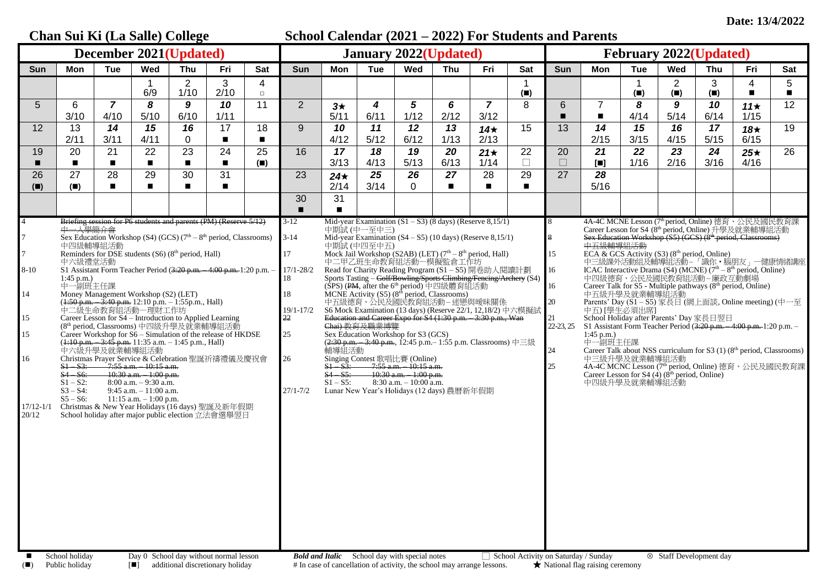|                                                                               |                                                                                                                                                                                                                                                                                                                                                                                                                                                                                                                                                                                                                                                                                                                                                                                                                                                                                                                                                                                                                                                                                                                                                                                                                                              |                        | Chan Sui Ki (La Salle) College |                        |                      |                      | School Calendar (2021 – 2022) For Students and Parents |                                                                              |                            |                                                                                                                                                                                                                                                                                                                                                                  |            |                                                                                                                                                                                                                                                                                                                                                                                                                                                                                                                                                                                    |                                      |                                               |                                                                                                                                                                                                                                            |                  |                                    |                                                                                                          |                                                                                                                                                                                                                                                                                                                                                                                                                                                                                                                                                                                                      |                                   |  |  |
|-------------------------------------------------------------------------------|----------------------------------------------------------------------------------------------------------------------------------------------------------------------------------------------------------------------------------------------------------------------------------------------------------------------------------------------------------------------------------------------------------------------------------------------------------------------------------------------------------------------------------------------------------------------------------------------------------------------------------------------------------------------------------------------------------------------------------------------------------------------------------------------------------------------------------------------------------------------------------------------------------------------------------------------------------------------------------------------------------------------------------------------------------------------------------------------------------------------------------------------------------------------------------------------------------------------------------------------|------------------------|--------------------------------|------------------------|----------------------|----------------------|--------------------------------------------------------|------------------------------------------------------------------------------|----------------------------|------------------------------------------------------------------------------------------------------------------------------------------------------------------------------------------------------------------------------------------------------------------------------------------------------------------------------------------------------------------|------------|------------------------------------------------------------------------------------------------------------------------------------------------------------------------------------------------------------------------------------------------------------------------------------------------------------------------------------------------------------------------------------------------------------------------------------------------------------------------------------------------------------------------------------------------------------------------------------|--------------------------------------|-----------------------------------------------|--------------------------------------------------------------------------------------------------------------------------------------------------------------------------------------------------------------------------------------------|------------------|------------------------------------|----------------------------------------------------------------------------------------------------------|------------------------------------------------------------------------------------------------------------------------------------------------------------------------------------------------------------------------------------------------------------------------------------------------------------------------------------------------------------------------------------------------------------------------------------------------------------------------------------------------------------------------------------------------------------------------------------------------------|-----------------------------------|--|--|
|                                                                               |                                                                                                                                                                                                                                                                                                                                                                                                                                                                                                                                                                                                                                                                                                                                                                                                                                                                                                                                                                                                                                                                                                                                                                                                                                              |                        | December 2021(Updated)         |                        |                      |                      | <b>January 2022(Updated)</b>                           |                                                                              |                            |                                                                                                                                                                                                                                                                                                                                                                  |            |                                                                                                                                                                                                                                                                                                                                                                                                                                                                                                                                                                                    |                                      | <b>February 2022(Updated)</b>                 |                                                                                                                                                                                                                                            |                  |                                    |                                                                                                          |                                                                                                                                                                                                                                                                                                                                                                                                                                                                                                                                                                                                      |                                   |  |  |
| Sun                                                                           | Mon                                                                                                                                                                                                                                                                                                                                                                                                                                                                                                                                                                                                                                                                                                                                                                                                                                                                                                                                                                                                                                                                                                                                                                                                                                          | <b>Tue</b>             | Wed                            | Thu                    | Fri                  | Sat                  | <b>Sun</b>                                             | Mon                                                                          | <b>Tue</b>                 | Wed                                                                                                                                                                                                                                                                                                                                                              | Thu        | Fri                                                                                                                                                                                                                                                                                                                                                                                                                                                                                                                                                                                | <b>Sat</b>                           | Sun                                           | Mon                                                                                                                                                                                                                                        | Tue              | Wed                                | Thu                                                                                                      | Fri                                                                                                                                                                                                                                                                                                                                                                                                                                                                                                                                                                                                  | Sat                               |  |  |
|                                                                               |                                                                                                                                                                                                                                                                                                                                                                                                                                                                                                                                                                                                                                                                                                                                                                                                                                                                                                                                                                                                                                                                                                                                                                                                                                              |                        | 6/9                            | $\overline{2}$<br>1/10 | 3<br>2/10            | 4<br>$\Box$          |                                                        |                                                                              |                            |                                                                                                                                                                                                                                                                                                                                                                  |            |                                                                                                                                                                                                                                                                                                                                                                                                                                                                                                                                                                                    | $(\blacksquare)$                     |                                               |                                                                                                                                                                                                                                            | $(\blacksquare)$ | $\overline{2}$<br>$(\blacksquare)$ | 3<br>$(\blacksquare)$                                                                                    | 4<br>$\blacksquare$                                                                                                                                                                                                                                                                                                                                                                                                                                                                                                                                                                                  | $5\overline{)}$<br>$\blacksquare$ |  |  |
| $\overline{5}$                                                                | 6<br>3/10                                                                                                                                                                                                                                                                                                                                                                                                                                                                                                                                                                                                                                                                                                                                                                                                                                                                                                                                                                                                                                                                                                                                                                                                                                    | $\overline{7}$<br>4/10 | 8<br>5/10                      | 9<br>6/10              | 10<br>1/11           | 11                   | $\overline{2}$                                         | $3\star$<br>5/11                                                             | 4<br>6/11                  | 5<br>1/12                                                                                                                                                                                                                                                                                                                                                        | 6<br>2/12  | $\overline{7}$<br>3/12                                                                                                                                                                                                                                                                                                                                                                                                                                                                                                                                                             | 8                                    | 6                                             | $\overline{7}$<br>$\blacksquare$                                                                                                                                                                                                           | 8<br>4/14        | 9<br>5/14                          | 10<br>6/14                                                                                               | 11 $\star$<br>1/15                                                                                                                                                                                                                                                                                                                                                                                                                                                                                                                                                                                   | 12                                |  |  |
| 12                                                                            | 13                                                                                                                                                                                                                                                                                                                                                                                                                                                                                                                                                                                                                                                                                                                                                                                                                                                                                                                                                                                                                                                                                                                                                                                                                                           | 14                     | 15                             | 16                     | 17                   | 18                   | 9                                                      | 10                                                                           | 11                         | 12                                                                                                                                                                                                                                                                                                                                                               | 13         | 14 $\star$                                                                                                                                                                                                                                                                                                                                                                                                                                                                                                                                                                         | 15                                   | 13                                            | 14                                                                                                                                                                                                                                         | 15               | 16                                 | 17                                                                                                       | $18*$                                                                                                                                                                                                                                                                                                                                                                                                                                                                                                                                                                                                | 19                                |  |  |
| 19                                                                            | 2/11<br>20                                                                                                                                                                                                                                                                                                                                                                                                                                                                                                                                                                                                                                                                                                                                                                                                                                                                                                                                                                                                                                                                                                                                                                                                                                   | 3/11<br>21             | 4/11<br>22                     | 0<br>23                | $\blacksquare$<br>24 | $\blacksquare$<br>25 | 16                                                     | 4/12<br>17                                                                   | 5/12<br>18                 | 6/12<br>19                                                                                                                                                                                                                                                                                                                                                       | 1/13<br>20 | 2/13<br>$21\star$                                                                                                                                                                                                                                                                                                                                                                                                                                                                                                                                                                  | 22                                   | 20                                            | 2/15<br>21                                                                                                                                                                                                                                 | 3/15<br>22       | 4/15<br>23                         | 5/15<br>24                                                                                               | 6/15<br>$25\star$                                                                                                                                                                                                                                                                                                                                                                                                                                                                                                                                                                                    | 26                                |  |  |
| п                                                                             | $\blacksquare$                                                                                                                                                                                                                                                                                                                                                                                                                                                                                                                                                                                                                                                                                                                                                                                                                                                                                                                                                                                                                                                                                                                                                                                                                               | $\blacksquare$         | $\blacksquare$                 |                        | $\blacksquare$       | $(\blacksquare)$     |                                                        | 3/13                                                                         | 4/13                       | 5/13                                                                                                                                                                                                                                                                                                                                                             | 6/13       | 1/14                                                                                                                                                                                                                                                                                                                                                                                                                                                                                                                                                                               | П                                    | $\Box$                                        | $\begin{bmatrix} \blacksquare \end{bmatrix}$                                                                                                                                                                                               | 1/16             | 2/16                               | 3/16                                                                                                     | 4/16                                                                                                                                                                                                                                                                                                                                                                                                                                                                                                                                                                                                 |                                   |  |  |
| 26<br>(                                                                       | 27<br>$(\blacksquare)$                                                                                                                                                                                                                                                                                                                                                                                                                                                                                                                                                                                                                                                                                                                                                                                                                                                                                                                                                                                                                                                                                                                                                                                                                       | 28<br>$\blacksquare$   | 29<br>$\blacksquare$           | 30                     | 31<br>$\blacksquare$ |                      | 23                                                     | $24\star$<br>2/14                                                            | 25<br>3/14                 | 26<br>0                                                                                                                                                                                                                                                                                                                                                          | 27         | 28<br>$\blacksquare$                                                                                                                                                                                                                                                                                                                                                                                                                                                                                                                                                               | 29                                   | 27                                            | 28<br>5/16                                                                                                                                                                                                                                 |                  |                                    |                                                                                                          |                                                                                                                                                                                                                                                                                                                                                                                                                                                                                                                                                                                                      |                                   |  |  |
|                                                                               |                                                                                                                                                                                                                                                                                                                                                                                                                                                                                                                                                                                                                                                                                                                                                                                                                                                                                                                                                                                                                                                                                                                                                                                                                                              |                        |                                |                        |                      |                      | 30                                                     | 31                                                                           |                            |                                                                                                                                                                                                                                                                                                                                                                  |            |                                                                                                                                                                                                                                                                                                                                                                                                                                                                                                                                                                                    |                                      |                                               |                                                                                                                                                                                                                                            |                  |                                    |                                                                                                          |                                                                                                                                                                                                                                                                                                                                                                                                                                                                                                                                                                                                      |                                   |  |  |
| 7<br>$\overline{7}$<br>$8 - 10$<br>14<br>15<br>15<br>16<br>17/12-1/1<br>20/12 | Briefing session for P6 students and parents (PM) (Reserve 5/12)<br>中一人學簡介會<br>Sex Education Workshop (S4) (GCS) ( $7th - 8th$ period, Classrooms)<br>$3 - 14$<br>中四級輔導組活動<br>Reminders for DSE students (S6) (8 <sup>th</sup> period, Hall)<br>中六級禮堂活動<br>S1 Assistant Form Teacher Period (3:20 p.m. - 4:00 p.m. 1:20 p.m. -<br>$1:45$ p.m.)<br>中一副班主任課<br>Money Management Workshop (S2) (LET)<br>$(1.50 \text{ p.m.} - 3.40 \text{ p.m. } 12.10 \text{ p.m.} - 1.55 \text{ p.m. } \text{Hall})$<br>中二級生命教育組活動一理財工作坊<br>Career Lesson for S4 - Introduction to Applied Learning<br>(8 <sup>th</sup> period, Classrooms) 中四級升學及就業輔導組活動<br>Career Workshop for S6 - Simulation of the release of HKDSE<br>( <del>1:10 p.m. – 3:45 p.m.</del> 11:35 a.m. – 1:45 p.m., Hall)<br>中六級升學及就業輔導組活動<br>Christmas Prayer Service & Celebration 聖誕祈禱禮儀及慶祝會<br>$S1 - S3$ :<br>$-7:55$ a.m. $-10:15$ a.m.<br>$S4 - S6$ :<br>10:30 a.m. - 1:00 p.m.<br>$S1 - S2$ :<br>$8:00$ a.m. $-9:30$ a.m.<br>9:45 a.m. - 11:00 a.m.<br>$S3 - S4$ :<br>$S5 - S6$ :<br>$11:15$ a.m. $-1:00$ p.m.<br>Christmas & New Year Holidays (16 days) 聖誕及新年假期<br>School holiday after major public election 立法會選舉翌日<br>School holiday<br>Day 0 School day without normal lesson |                        |                                |                        |                      |                      |                                                        | 輔導組活動<br>$S1 - S3$ :<br>$S4 - S5$ :<br>$S1 - S5$ :<br><b>Bold and Italic</b> | 中期試 (中一至中三)<br>中期試 (中四至中五) | (SPS) (PM, after the 6 <sup>th</sup> period) 中四級體育組活動<br>MCNE Activity (S5) (8 <sup>th</sup> period, Classrooms)<br>Sex Education Workshop for S3 (GCS)<br>Singing Contest 歌唱比賽 (Online)<br>$-7:55$ a.m. $-10:15$ a.m.<br>$-10:30$ a.m. $-1:00$ p.m.<br>$8:30$ a.m. $-10:00$ a.m.<br>Lunar New Year's Holidays (12 days) 農曆新年假期<br>School day with special notes |            | Mid-year Examination $(S4 - S5)$ (10 days) (Reserve 8,15/1)<br>Mock Jail Workshop (S2AB) (LET) (7 <sup>th</sup> – 8 <sup>th</sup> period, Hall)<br>中二甲乙班生命教育組活動一模擬監倉工作坊<br>Read for Charity Reading Program (S1-S5) 開卷助人閱讀計劃<br>Sports Tasting - Golf/Bowling/Sports Climbing/Fencing/Archery (S4)<br>中五級德育、公民及國民教育組活動-迷戀與曖昧關係<br>S6 Mock Examination (13 days) (Reserve 22/1, 12,18/2) 中六模擬試<br>Education and Career Expo for S4 (1:30 p.m. - 3:30 p.m., Wan<br>Chai) 教育及職業博覽<br>$(2.30 \text{ p.m.} - 3.40 \text{ p.m.}, 12.45 \text{ p.m.} - 1.55 \text{ p.m.}$ Classrooms) 中三級 | School Activity on Saturday / Sunday | 15<br>16<br>16<br>20<br>22-23, 25<br>24<br>25 | 中五級輔導組活動<br>中五級升學及就業輔導組活動<br>中五) [學生必須出席]<br>S1 Assistant Form Teacher Period (3:20 p.m. - 4:00 p.m. 1:20 p.m. -<br>$1:45$ p.m.)<br>中一副班主任課<br>中三級升學及就業輔導組活動<br>Career Lesson for S4 (4) (8 <sup>th</sup> period, Online)<br>中四級升學及就業輔導組活動 |                  |                                    | 中四級德育、公民及國民教育組活動-廉政互動劇場<br>School Holiday after Parents' Day 家長日翌日<br><sup>⊗</sup> Staff Development day | Career Lesson for S4 (8th period, Online) 升學及就業輔導組活動<br>Sex Education Workshop (S5) (GCS) (8 <sup>th</sup> period, Classrooms)<br>ECA & GCS Activity (S3) (8 <sup>th</sup> period, Online)<br>中三級課外活動組及輔導組活動—「識你・腦朋友」—健康情緒講座<br>ICAC Interactive Drama (S4) (MCNE) (7 <sup>th</sup> – 8 <sup>th</sup> period, Online)<br>Career Talk for S5 - Multiple pathways (8 <sup>th</sup> period, Online)<br>Parents' Day (S1-S5) 家長日 (網上面談, Online meeting) (中一至<br>Career Talk about NSS curriculum for S3 $(1)$ (8 <sup>th</sup> period, Classrooms)<br>4A-4C MCNC Lesson (7th period, Online) 德育、公民及國民教育課 |                                   |  |  |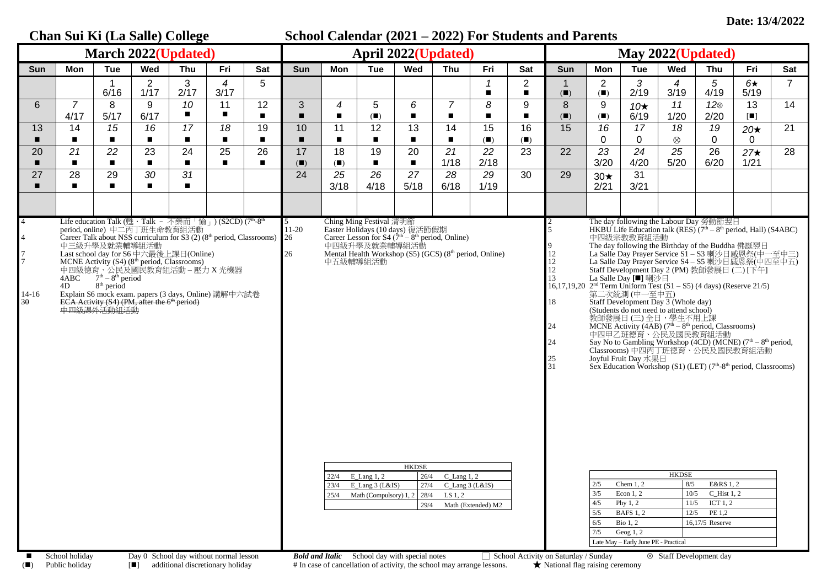|                                                                    | Chan Sui Ki (La Salle) College                                                                                                                                                                                                                                                                                                                                                                                                                                                                           |                                                                                                                                                     |                                                                                                                                                                                                                               |                                                                                                   |                                                                                                                                                                                                                                       |                      | School Calendar (2021 – 2022) For Students and Parents |                                    |                                                                          |                                                                            |                                                                                                                                                                                                                                                     |                     |                                             |                                                                                                                                                                                    |                                        |                                                                                                                                                                                                                      |                                                                                                                                                            |                                                                                                                                                                                                                                                                                                                                                                                                                                                                                                                                                                                                                                                                                       |                      |                |  |
|--------------------------------------------------------------------|----------------------------------------------------------------------------------------------------------------------------------------------------------------------------------------------------------------------------------------------------------------------------------------------------------------------------------------------------------------------------------------------------------------------------------------------------------------------------------------------------------|-----------------------------------------------------------------------------------------------------------------------------------------------------|-------------------------------------------------------------------------------------------------------------------------------------------------------------------------------------------------------------------------------|---------------------------------------------------------------------------------------------------|---------------------------------------------------------------------------------------------------------------------------------------------------------------------------------------------------------------------------------------|----------------------|--------------------------------------------------------|------------------------------------|--------------------------------------------------------------------------|----------------------------------------------------------------------------|-----------------------------------------------------------------------------------------------------------------------------------------------------------------------------------------------------------------------------------------------------|---------------------|---------------------------------------------|------------------------------------------------------------------------------------------------------------------------------------------------------------------------------------|----------------------------------------|----------------------------------------------------------------------------------------------------------------------------------------------------------------------------------------------------------------------|------------------------------------------------------------------------------------------------------------------------------------------------------------|---------------------------------------------------------------------------------------------------------------------------------------------------------------------------------------------------------------------------------------------------------------------------------------------------------------------------------------------------------------------------------------------------------------------------------------------------------------------------------------------------------------------------------------------------------------------------------------------------------------------------------------------------------------------------------------|----------------------|----------------|--|
| <b>March 2022(Updated)</b>                                         |                                                                                                                                                                                                                                                                                                                                                                                                                                                                                                          |                                                                                                                                                     |                                                                                                                                                                                                                               |                                                                                                   |                                                                                                                                                                                                                                       |                      |                                                        | <b>April 2022(Updated)</b>         |                                                                          |                                                                            |                                                                                                                                                                                                                                                     |                     |                                             |                                                                                                                                                                                    | May 2022(Updated)                      |                                                                                                                                                                                                                      |                                                                                                                                                            |                                                                                                                                                                                                                                                                                                                                                                                                                                                                                                                                                                                                                                                                                       |                      |                |  |
| Sun                                                                | Mon                                                                                                                                                                                                                                                                                                                                                                                                                                                                                                      | <b>Tue</b>                                                                                                                                          | Wed                                                                                                                                                                                                                           | Thu                                                                                               | Fri                                                                                                                                                                                                                                   | Sat                  | <b>Sun</b>                                             | <b>Mon</b>                         | <b>Tue</b>                                                               | Wed                                                                        | Thu                                                                                                                                                                                                                                                 | Fri                 | Sat                                         | Sun                                                                                                                                                                                | Mon                                    | <b>Tue</b>                                                                                                                                                                                                           | Wed                                                                                                                                                        | Thu                                                                                                                                                                                                                                                                                                                                                                                                                                                                                                                                                                                                                                                                                   | Fri                  | Sat            |  |
|                                                                    |                                                                                                                                                                                                                                                                                                                                                                                                                                                                                                          | 6/16                                                                                                                                                | 2<br>1/17                                                                                                                                                                                                                     | 3<br>2/17                                                                                         | $\overline{4}$<br>3/17                                                                                                                                                                                                                | 5                    |                                                        |                                    |                                                                          |                                                                            |                                                                                                                                                                                                                                                     | 1<br>$\blacksquare$ | $\overline{2}$<br>$\blacksquare$            | $(\blacksquare)$                                                                                                                                                                   | $\overline{2}$<br>(                    | 3<br>2/19                                                                                                                                                                                                            | 4<br>3/19                                                                                                                                                  | 5<br>4/19                                                                                                                                                                                                                                                                                                                                                                                                                                                                                                                                                                                                                                                                             | $6\star$<br>5/19     | $\overline{7}$ |  |
| 6                                                                  | $\overline{7}$<br>4/17                                                                                                                                                                                                                                                                                                                                                                                                                                                                                   | 8<br>5/17                                                                                                                                           | 9<br>6/17                                                                                                                                                                                                                     | 10<br>$\blacksquare$                                                                              | 11<br>$\blacksquare$                                                                                                                                                                                                                  | 12<br>$\blacksquare$ | 3<br>п                                                 | $\boldsymbol{4}$<br>$\blacksquare$ | 5<br>(                                                                   | 6<br>$\blacksquare$                                                        | $\overline{7}$<br>$\blacksquare$                                                                                                                                                                                                                    | 8<br>$\blacksquare$ | 9<br>$\blacksquare$                         | 8<br>(                                                                                                                                                                             | 9<br>(                                 | $10*$<br>6/19                                                                                                                                                                                                        | 11<br>1/20                                                                                                                                                 | $12\otimes$<br>2/20                                                                                                                                                                                                                                                                                                                                                                                                                                                                                                                                                                                                                                                                   | 13<br>$\blacksquare$ | 14             |  |
| 13                                                                 | 14<br>$\blacksquare$                                                                                                                                                                                                                                                                                                                                                                                                                                                                                     | 15<br>$\blacksquare$                                                                                                                                | 16<br>$\blacksquare$                                                                                                                                                                                                          | 17<br>$\blacksquare$                                                                              | 18<br>$\blacksquare$                                                                                                                                                                                                                  | 19<br>$\blacksquare$ | 10<br>П                                                | 11<br>$\blacksquare$               | 12                                                                       | 13<br>$\blacksquare$                                                       | 14<br>$\blacksquare$                                                                                                                                                                                                                                | 15<br>(             | 16<br>(                                     | 15                                                                                                                                                                                 | 16<br>0                                | 17<br>$\Omega$                                                                                                                                                                                                       | 18<br>$\otimes$                                                                                                                                            | 19<br>$\Omega$                                                                                                                                                                                                                                                                                                                                                                                                                                                                                                                                                                                                                                                                        | $20\star$<br>0       | 21             |  |
| 20                                                                 | 21<br>$\blacksquare$                                                                                                                                                                                                                                                                                                                                                                                                                                                                                     | 22<br>$\blacksquare$                                                                                                                                | 23<br>$\blacksquare$                                                                                                                                                                                                          | 24<br>$\blacksquare$                                                                              | 25<br>$\blacksquare$                                                                                                                                                                                                                  | 26<br>$\blacksquare$ | 17<br>(                                                | 18<br>(                            | 19                                                                       | 20<br>$\blacksquare$                                                       | 21<br>1/18                                                                                                                                                                                                                                          | 22<br>2/18          | $\overline{23}$                             | 22                                                                                                                                                                                 | $\overline{23}$<br>3/20                | $\overline{24}$<br>4/20                                                                                                                                                                                              | $\overline{25}$<br>5/20                                                                                                                                    | 26<br>6/20                                                                                                                                                                                                                                                                                                                                                                                                                                                                                                                                                                                                                                                                            | $27\star$<br>1/21    | 28             |  |
| 27                                                                 | 28                                                                                                                                                                                                                                                                                                                                                                                                                                                                                                       | 29<br>$\blacksquare$                                                                                                                                | 30<br>$\blacksquare$                                                                                                                                                                                                          | 31<br>$\blacksquare$                                                                              |                                                                                                                                                                                                                                       |                      | 24                                                     | 25<br>3/18                         | 26<br>4/18                                                               | 27<br>5/18                                                                 | 28<br>6/18                                                                                                                                                                                                                                          | 29<br>1/19          | 30                                          | 29                                                                                                                                                                                 | $30\star$<br>2/21                      | 31<br>3/21                                                                                                                                                                                                           |                                                                                                                                                            |                                                                                                                                                                                                                                                                                                                                                                                                                                                                                                                                                                                                                                                                                       |                      |                |  |
|                                                                    |                                                                                                                                                                                                                                                                                                                                                                                                                                                                                                          |                                                                                                                                                     |                                                                                                                                                                                                                               |                                                                                                   |                                                                                                                                                                                                                                       |                      |                                                        |                                    |                                                                          |                                                                            |                                                                                                                                                                                                                                                     |                     |                                             |                                                                                                                                                                                    |                                        |                                                                                                                                                                                                                      |                                                                                                                                                            |                                                                                                                                                                                                                                                                                                                                                                                                                                                                                                                                                                                                                                                                                       |                      |                |  |
| $\overline{4}$<br>$\overline{4}$<br>$\frac{7}{7}$<br>$14-16$<br>30 | 4ABC<br>4D<br>$\blacksquare$ $\blacksquare$ $\blacksquare$ $\blacksquare$ $\blacksquare$ $\blacksquare$ $\blacksquare$ $\blacksquare$ $\blacksquare$ $\blacksquare$ $\blacksquare$ $\blacksquare$ $\blacksquare$ $\blacksquare$ $\blacksquare$ $\blacksquare$ $\blacksquare$ $\blacksquare$ $\blacksquare$ $\blacksquare$ $\blacksquare$ $\blacksquare$ $\blacksquare$ $\blacksquare$ $\blacksquare$ $\blacksquare$ $\blacksquare$ $\blacksquare$ $\blacksquare$ $\blacksquare$ $\blacksquare$ $\blacks$ | period, online) 中二丙丁班生命教育組活動<br>中三級升學及就業輔導組活動<br>$7th - 8th$ period<br>$8th$ period<br>ECA Activity (S4) (PM, after the $6th$ period)<br>中四級課外活動組活動 | $P_1$ $Q_2$ $Q_3$ $Q_4$ $Q_5$ $Q_7$ $Q_8$ $Q_7$ $Q_8$ $Q_9$ $Q_9$ $Q_9$ $Q_9$ $Q_9$ $Q_9$ $Q_9$ $Q_9$ $Q_9$ $Q_9$ $Q_9$ $Q_9$ $Q_9$ $Q_9$ $Q_9$ $Q_9$ $Q_9$ $Q_9$ $Q_9$ $Q_9$ $Q_9$ $Q_9$ $Q_9$ $Q_9$ $Q_9$ $Q_9$ $Q_9$ $Q_9$ | Last school day for S6 中六最後上課日(Online)<br>MCNE Activity (S4) (8 <sup>th</sup> period, Classrooms) | Life education Talk (甦 · Talk - 不藥而「愉」) (S2CD) (7th-8th<br>Career Talk about NSS curriculum for S3 $(2)$ (8 <sup>th</sup> period, Classrooms) 26<br>中四級德育、公民及國民教育組活動-壓力 X 光機器<br>Explain S6 mock exam. papers (3 days, Online) 講解中六試卷 |                      | 5<br>$11-20$<br>26<br>$D - I J = -J L - L$             | 中五級輔導組活動<br>23/4<br>25/4           | Ching Ming Festival 清明節<br>22/4 E Lang 1, 2<br>$E$ Lang 3 (L&IS)<br>0111 | <b>HKDSE</b><br>26/4<br>27/4<br>Math (Compulsory) $1, 2 \mid 28/4$<br>29/4 | Easter Holidays (10 days) 復活節假期<br>Career Lesson for S4 (7 <sup>th</sup> – 8 <sup>th</sup> period, Online)<br>中四級升學及就業輔導組活動<br>Mental Health Workshop (S5) (GCS) (8 <sup>th</sup> period, Online)<br>$C$ _Lang 1, 2<br>C_Lang 3 (L&IS)<br>$LS$ 1, 2 | Math (Extended) M2  | $\Box$ $\Omega$ -1. $\Box$ 1. A -41. $\Box$ | $\begin{array}{c} 12 \\ 12 \end{array}$<br>12<br>13<br>16,17,19,20 $2nd$ Term Uniform Test (S1 - S5) (4 days) (Reserve 21/5)<br>18<br>24<br>24<br>25<br>31<br>$\sim$ $\sim$ $\sim$ | 2/5<br>3/5<br>4/5<br>5/5<br>6/5<br>7/5 | 中四級宗教教育組活動<br>La Salle Day [■] 喇沙日<br>第二次統測(中一至中五)<br>Joyful Fruit Day 水果日<br>Chem $1, 2$<br>Econ $1, 2$<br>Phy $1, 2$<br><b>BAFS 1, 2</b><br><b>Bio</b> 1, 2<br>Geog $1, 2$<br>Late May - Early June PE - Practical | Staff Development Day 3 (Whole day)<br>(Students do not need to attend school)<br>教師發展日 (三) 全日,學生不用上課<br>中四甲乙班德育、公民及國民教育組活動<br><b>HKDSE</b><br>8/5<br>11/5 | The day following the Labour Day 勞動節翌日<br>HKBU Life Education talk (RES) $(7th - 8th$ period, Hall) (S4ABC)<br>The day following the Birthday of the Buddha 佛誕翌日<br>La Salle Day Prayer Service S1-S3 喇沙日感恩祭(中一至中三)<br>La Salle Day Prayer Service S4 - S5 喇沙日感恩祭(中四至中五)<br>Staff Development Day 2 (PM) 教師發展日 (二) [下午]<br>MCNE Activity (4AB) $(7th - 8th$ period, Classrooms)<br>Say No to Gambling Workshop (4CD) (MCNE) (7 <sup>th</sup> – 8 <sup>th</sup> period, Classrooms) 中四丙丁班德育、公民及國民教育組活動<br>Sex Education Workshop (S1) (LET) (7 <sup>th</sup> -8 <sup>th</sup> period, Classrooms)<br>E&RS 1, 2<br>$10/5$ C_Hist 1, 2<br>ICT $1, 2$<br>$12/5$ PE 1,2<br>16,17/5 Reserve |                      |                |  |